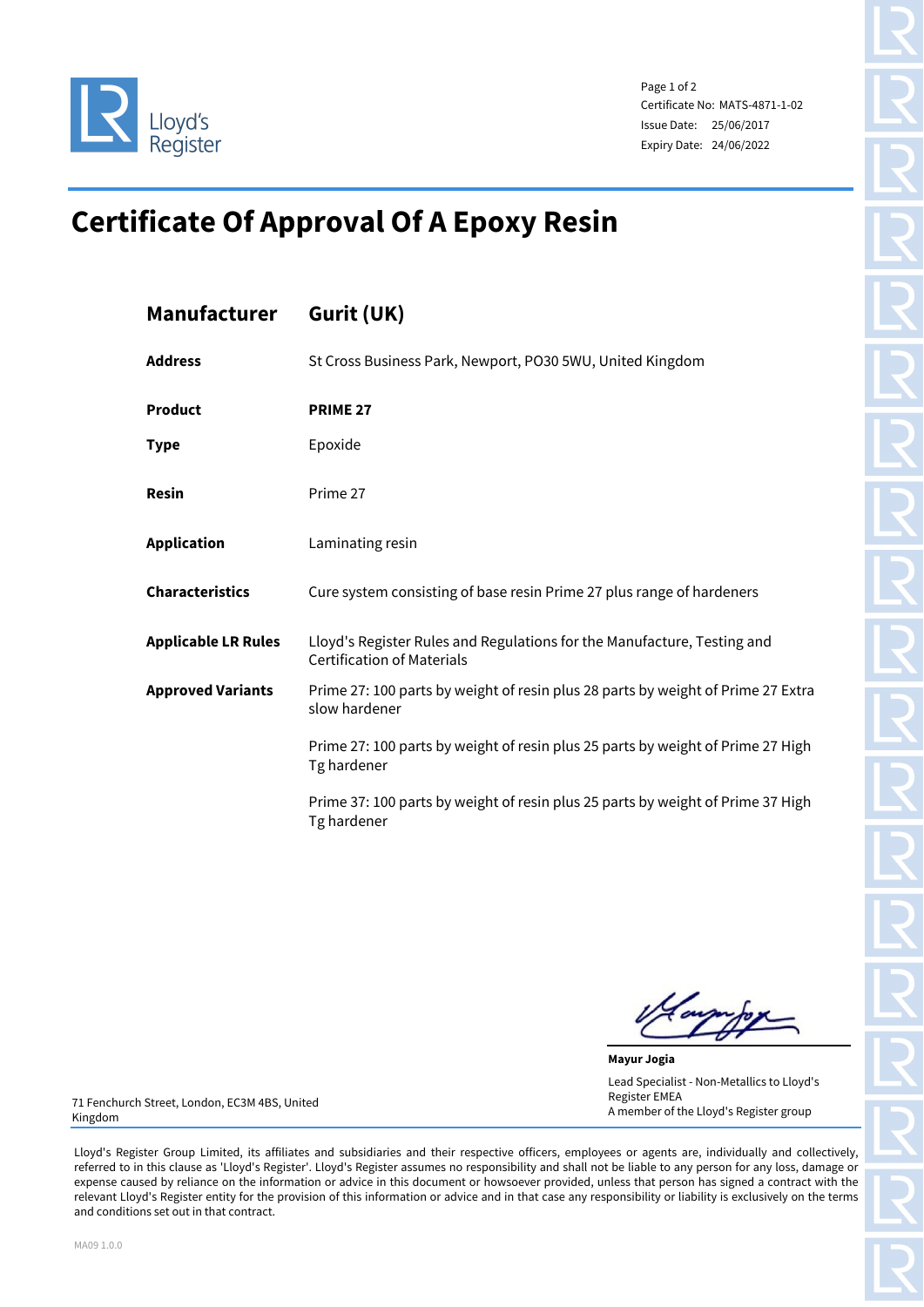

Page 1 of 2 Certificate No: MATS-4871-1-02 Issue Date: 25/06/2017 Expiry Date: 24/06/2022

## **Certificate Of Approval Of A Epoxy Resin**

| <b>Manufacturer</b>        | Gurit (UK)                                                                                                   |
|----------------------------|--------------------------------------------------------------------------------------------------------------|
| <b>Address</b>             | St Cross Business Park, Newport, PO30 5WU, United Kingdom                                                    |
| <b>Product</b>             | <b>PRIME 27</b>                                                                                              |
| <b>Type</b>                | Epoxide                                                                                                      |
| <b>Resin</b>               | Prime 27                                                                                                     |
| <b>Application</b>         | Laminating resin                                                                                             |
| <b>Characteristics</b>     | Cure system consisting of base resin Prime 27 plus range of hardeners                                        |
| <b>Applicable LR Rules</b> | Lloyd's Register Rules and Regulations for the Manufacture, Testing and<br><b>Certification of Materials</b> |
| <b>Approved Variants</b>   | Prime 27: 100 parts by weight of resin plus 28 parts by weight of Prime 27 Extra<br>slow hardener            |
|                            | Prime 27: 100 parts by weight of resin plus 25 parts by weight of Prime 27 High<br>Tg hardener               |
|                            | Prime 37: 100 parts by weight of resin plus 25 parts by weight of Prime 37 High<br>Tg hardener               |

**Mayur Jogia** Lead Specialist - Non-Metallics to Lloyd's Register EMEA A member of the Lloyd's Register group

71 Fenchurch Street, London, EC3M 4BS, United Kingdom

Lloyd's Register Group Limited, its affiliates and subsidiaries and their respective officers, employees or agents are, individually and collectively, referred to in this clause as 'Lloyd's Register'. Lloyd's Register assumes no responsibility and shall not be liable to any person for any loss, damage or expense caused by reliance on the information or advice in this document or howsoever provided, unless that person has signed a contract with the relevant Lloyd's Register entity for the provision of this information or advice and in that case any responsibility or liability is exclusively on the terms and conditions set out in that contract.